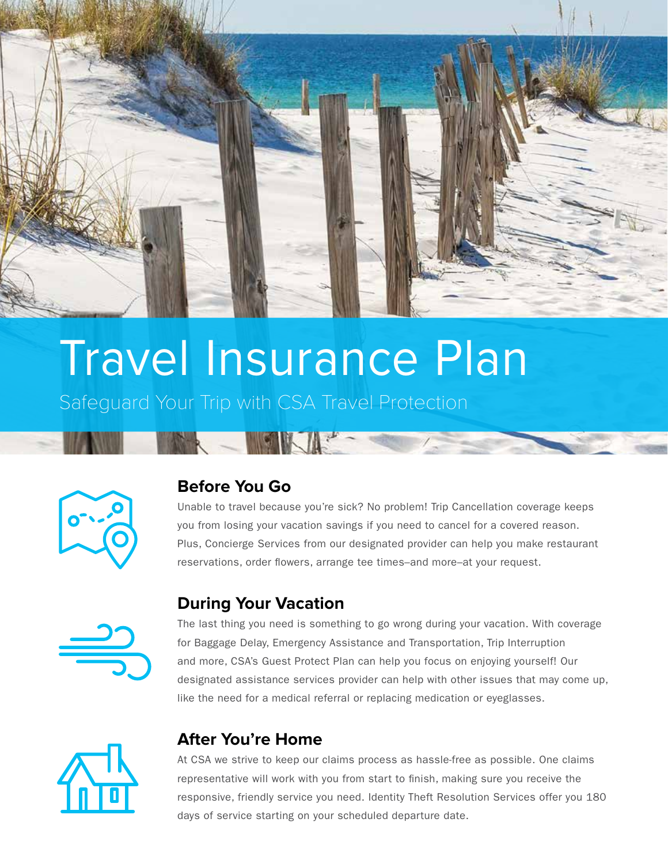

# Travel Insurance Plan

Safeguard Your Trip with CSA Travel Protection

R - SKIP



# **Before You Go**

Unable to travel because you're sick? No problem! Trip Cancellation coverage keeps you from losing your vacation savings if you need to cancel for a covered reason. Plus, Concierge Services from our designated provider can help you make restaurant reservations, order flowers, arrange tee times–and more–at your request.



## **During Your Vacation**

The last thing you need is something to go wrong during your vacation. With coverage for Baggage Delay, Emergency Assistance and Transportation, Trip Interruption and more, CSA's Guest Protect Plan can help you focus on enjoying yourself! Our designated assistance services provider can help with other issues that may come up, like the need for a medical referral or replacing medication or eyeglasses.



# **After You're Home**

At CSA we strive to keep our claims process as hassle-free as possible. One claims representative will work with you from start to finish, making sure you receive the responsive, friendly service you need. Identity Theft Resolution Services offer you 180 days of service starting on your scheduled departure date.